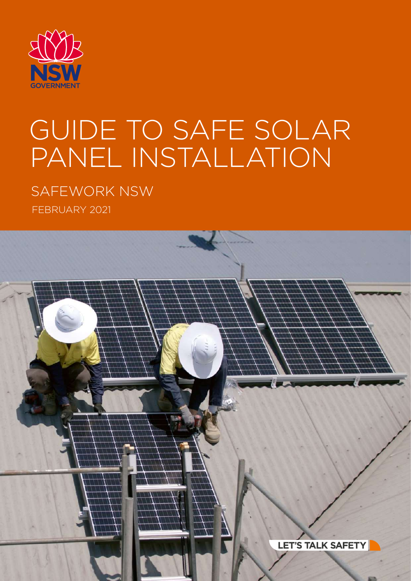

# GUIDE TO SAFE SOLAR PANEL INSTALLATION

SAFEWORK NSW FEBRUARY 2021

LET'S TALK SAFETY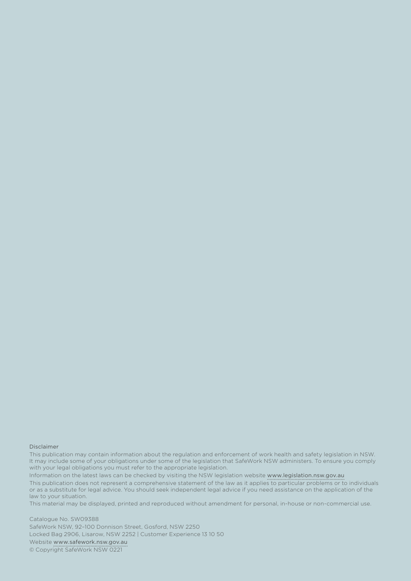#### Disclaimer

This publication may contain information about the regulation and enforcement of work health and safety legislation in NSW. It may include some of your obligations under some of the legislation that SafeWork NSW administers. To ensure you comply with your legal obligations you must refer to the appropriate legislation.

Information on the latest laws can be checked by visiting the NSW legislation website [www.legislation.nsw.gov.au](http://www.legislation.nsw.gov.au) This publication does not represent a comprehensive statement of the law as it applies to particular problems or to individuals or as a substitute for legal advice. You should seek independent legal advice if you need assistance on the application of the law to your situation.

This material may be displayed, printed and reproduced without amendment for personal, in-house or non-commercial use.

Catalogue No. SW09388 SafeWork NSW, 92–100 Donnison Street, Gosford, NSW 2250 Locked Bag 2906, Lisarow, NSW 2252 | Customer Experience 13 10 50 Website [www.safework.nsw.gov.au](http://www.safework.nsw.gov.au) © Copyright SafeWork NSW 0221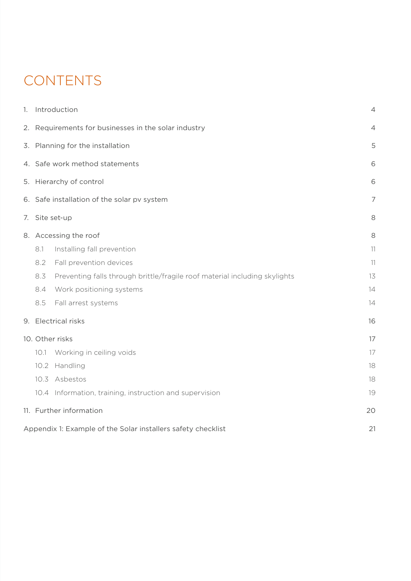### **CONTENTS**

| 1. |      | Introduction                                                               | $\overline{4}$ |
|----|------|----------------------------------------------------------------------------|----------------|
|    |      | 2. Requirements for businesses in the solar industry                       | 4              |
|    |      | 3. Planning for the installation                                           | 5              |
|    |      | 4. Safe work method statements                                             | 6              |
|    |      | 5. Hierarchy of control                                                    | 6              |
|    |      | 6. Safe installation of the solar pv system                                | $\overline{7}$ |
|    |      | 7. Site set-up                                                             | 8              |
|    |      | 8. Accessing the roof                                                      | 8              |
|    | 8.1  | Installing fall prevention                                                 | 11             |
|    | 8.2  | Fall prevention devices                                                    | 11             |
|    | 8.3  | Preventing falls through brittle/fragile roof material including skylights | 13             |
|    | 8.4  | Work positioning systems                                                   | 14             |
|    | 8.5  | Fall arrest systems                                                        | 14             |
|    |      | 9. Electrical risks                                                        | 16             |
|    |      | 10. Other risks                                                            | 17             |
|    | 10.1 | Working in ceiling voids                                                   | 17             |
|    | 10.2 | Handling                                                                   | 18             |
|    |      | 10.3 Asbestos                                                              | 18             |
|    |      | 10.4 Information, training, instruction and supervision                    | 19             |
|    |      | 11. Further information                                                    | 20             |
|    |      | Appendix 1: Example of the Solar installers safety checklist               | 21             |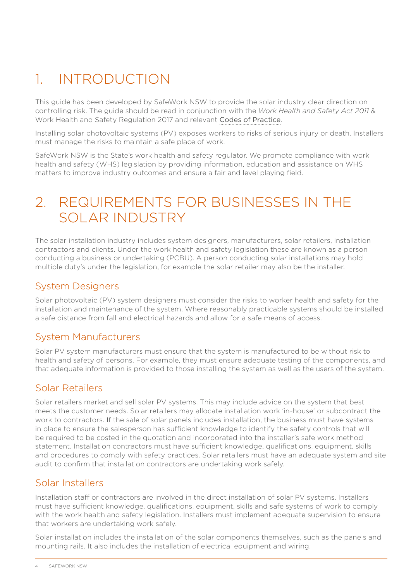### <span id="page-3-0"></span>1. INTRODUCTION

This guide has been developed by SafeWork NSW to provide the solar industry clear direction on controlling risk. The guide should be read in conjunction with the *Work Health and Safety Act 2011* & Work Health and Safety Regulation 2017 and relevant [Codes of Practice](https://www.safework.nsw.gov.au/search?query=Codes+of+practice).

Installing solar photovoltaic systems (PV) exposes workers to risks of serious injury or death. Installers must manage the risks to maintain a safe place of work.

SafeWork NSW is the State's work health and safety regulator. We promote compliance with work health and safety (WHS) legislation by providing information, education and assistance on WHS matters to improve industry outcomes and ensure a fair and level playing field.

### 2. REQUIREMENTS FOR BUSINESSES IN THE SOLAR INDUSTRY

The solar installation industry includes system designers, manufacturers, solar retailers, installation contractors and clients. Under the work health and safety legislation these are known as a person conducting a business or undertaking (PCBU). A person conducting solar installations may hold multiple duty's under the legislation, for example the solar retailer may also be the installer.

#### System Designers

Solar photovoltaic (PV) system designers must consider the risks to worker health and safety for the installation and maintenance of the system. Where reasonably practicable systems should be installed a safe distance from fall and electrical hazards and allow for a safe means of access.

#### System Manufacturers

Solar PV system manufacturers must ensure that the system is manufactured to be without risk to health and safety of persons. For example, they must ensure adequate testing of the components, and that adequate information is provided to those installing the system as well as the users of the system.

#### Solar Retailers

Solar retailers market and sell solar PV systems. This may include advice on the system that best meets the customer needs. Solar retailers may allocate installation work 'in-house' or subcontract the work to contractors. If the sale of solar panels includes installation, the business must have systems in place to ensure the salesperson has sufficient knowledge to identify the safety controls that will be required to be costed in the quotation and incorporated into the installer's safe work method statement. Installation contractors must have sufficient knowledge, qualifications, equipment, skills and procedures to comply with safety practices. Solar retailers must have an adequate system and site audit to confirm that installation contractors are undertaking work safely.

#### Solar Installers

Installation staff or contractors are involved in the direct installation of solar PV systems. Installers must have sufficient knowledge, qualifications, equipment, skills and safe systems of work to comply with the work health and safety legislation. Installers must implement adequate supervision to ensure that workers are undertaking work safely.

Solar installation includes the installation of the solar components themselves, such as the panels and mounting rails. It also includes the installation of electrical equipment and wiring.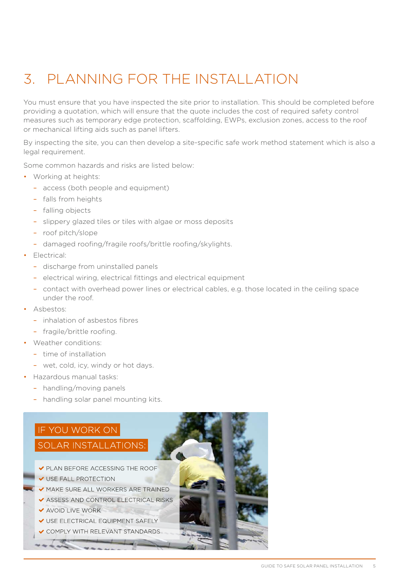# <span id="page-4-0"></span>3. PLANNING FOR THE INSTALLATION

You must ensure that you have inspected the site prior to installation. This should be completed before providing a quotation, which will ensure that the quote includes the cost of required safety control measures such as temporary edge protection, scaffolding, EWPs, exclusion zones, access to the roof or mechanical lifting aids such as panel lifters.

By inspecting the site, you can then develop a site-specific safe work method statement which is also a legal requirement.

Some common hazards and risks are listed below:

- Working at heights:
	- access (both people and equipment)
	- falls from heights
	- falling objects
	- slippery glazed tiles or tiles with algae or moss deposits
	- roof pitch/slope
	- damaged roofing/fragile roofs/brittle roofing/skylights.
- Electrical:
	- discharge from uninstalled panels
	- electrical wiring, electrical fittings and electrical equipment
	- contact with overhead power lines or electrical cables, e.g. those located in the ceiling space under the roof.
- Asbestos:
	- inhalation of asbestos fibres
	- fragile/brittle roofing.
- Weather conditions:
	- time of installation
	- wet, cold, icy, windy or hot days.
- Hazardous manual tasks:
	- handling/moving panels
	- handling solar panel mounting kits.

#### IF YOU WORK ON

#### **SOLAR INSTALLATIONS** • make sure all workers are trained

- $\blacktriangleright$  PLAN BEFORE ACCESSING THE ROOF
- $\checkmark$  USE FALL PROTECTION
- $\blacktriangleright$  MAKE SURE ALL WORKERS ARE TRAINED
- $\checkmark$  ASSESS AND CONTROL ELECTRICAL RISKS
- $\blacktriangleright$  AVOID LIVE WORK
- V USE ELECTRICAL EQUIPMENT SAFELY
- ✔ COMPLY WITH RELEVANT STANDARDS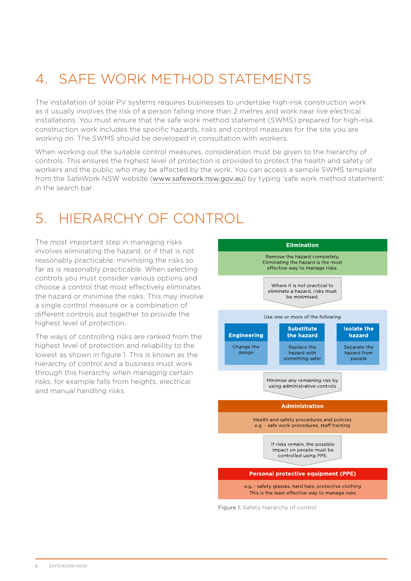# <span id="page-5-0"></span>4. SAFE WORK METHOD STATEMENTS

The installation of solar PV systems requires businesses to undertake high-risk construction work as it usually involves the risk of a person falling more than 2 metres and work near live electrical installations. You must ensure that the safe work method statement (SWMS) prepared for high-risk construction work includes the specific hazards, risks and control measures for the site you are working on. The SWMS should be developed in consultation with workers.

When working out the suitable control measures, consideration must be given to the hierarchy of controls. This ensures the highest level of protection is provided to protect the health and safety of workers and the public who may be affected by the work. You can access a sample SWMS template from the SafeWork NSW website ([www.safework.nsw.gov.au](http://www.safework.nsw.gov.au)) by typing 'safe work method statement' in the search bar.

### 5. HIERARCHY OF CONTROL

The most important step in managing risks involves eliminating the hazard, or if that is not reasonably practicable, minimising the risks so far as is reasonably practicable. When selecting controls you must consider various options and choose a control that most effectively eliminates the hazard or minimise the risks. This may involve a single control measure or a combination of different controls put together to provide the highest level of protection.

The ways of controlling risks are ranked from the highest level of protection and reliability to the lowest as shown in figure 1. This is known as the hierarchy of control and a business must work through this hierarchy when managing certain risks, for example falls from heights, electrical and manual handling risks.



Figure 1: Safety hierarchy of control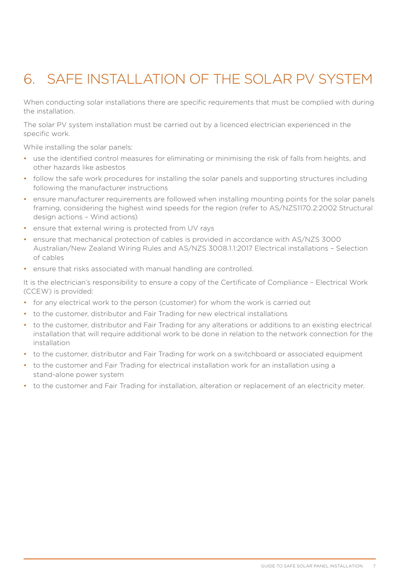# <span id="page-6-0"></span>6. SAFE INSTALLATION OF THE SOLAR PV SYSTEM

When conducting solar installations there are specific requirements that must be complied with during the installation.

The solar PV system installation must be carried out by a licenced electrician experienced in the specific work.

While installing the solar panels:

- use the identified control measures for eliminating or minimising the risk of falls from heights, and other hazards like asbestos
- follow the safe work procedures for installing the solar panels and supporting structures including following the manufacturer instructions
- ensure manufacturer requirements are followed when installing mounting points for the solar panels framing, considering the highest wind speeds for the region (refer to AS/NZS1170.2:2002 Structural design actions – Wind actions)
- ensure that external wiring is protected from UV rays
- ensure that mechanical protection of cables is provided in accordance with AS/NZS 3000 Australian/New Zealand Wiring Rules and AS/NZS 3008.1.1:2017 Electrical installations – Selection of cables
- ensure that risks associated with manual handling are controlled.

It is the electrician's responsibility to ensure a copy of the Certificate of Compliance – Electrical Work (CCEW) is provided:

- for any electrical work to the person (customer) for whom the work is carried out
- to the customer, distributor and Fair Trading for new electrical installations
- to the customer, distributor and Fair Trading for any alterations or additions to an existing electrical installation that will require additional work to be done in relation to the network connection for the installation
- to the customer, distributor and Fair Trading for work on a switchboard or associated equipment
- to the customer and Fair Trading for electrical installation work for an installation using a stand-alone power system
- to the customer and Fair Trading for installation, alteration or replacement of an electricity meter.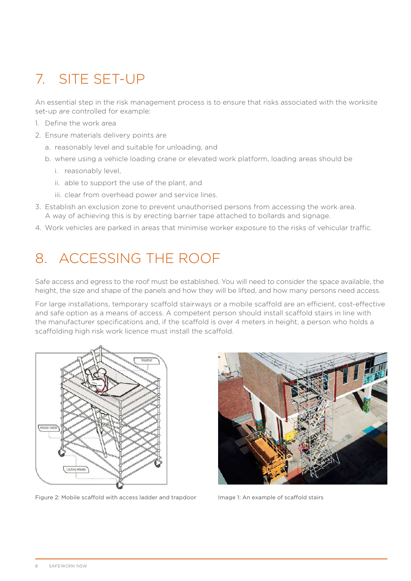# <span id="page-7-0"></span>7. SITE SET-UP

An essential step in the risk management process is to ensure that risks associated with the worksite set-up are controlled for example:

- 1. Define the work area
- 2. Ensure materials delivery points are
	- a. reasonably level and suitable for unloading, and
	- b. where using a vehicle loading crane or elevated work platform, loading areas should be
		- i. reasonably level,
		- ii. able to support the use of the plant, and
		- iii. clear from overhead power and service lines.
- 3. Establish an exclusion zone to prevent unauthorised persons from accessing the work area. A way of achieving this is by erecting barrier tape attached to bollards and signage.
- 4. Work vehicles are parked in areas that minimise worker exposure to the risks of vehicular traffic.

### 8. ACCESSING THE ROOF

Safe access and egress to the roof must be established. You will need to consider the space available, the height, the size and shape of the panels and how they will be lifted, and how many persons need access.

For large installations, temporary scaffold stairways or a mobile scaffold are an efficient, cost-effective and safe option as a means of access. A competent person should install scaffold stairs in line with the manufacturer specifications and, if the scaffold is over 4 meters in height, a person who holds a scaffolding high risk work licence must install the scaffold.



Figure 2: Mobile scaffold with access ladder and trapdoor Image 1: An example of scaffold stairs

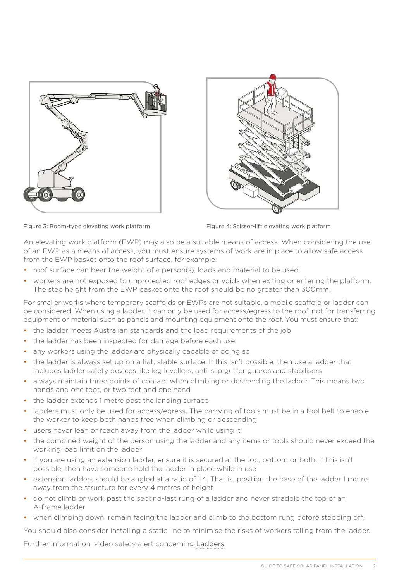



Figure 3: Boom-type elevating work platform Figure 4: Scissor-lift elevating work platform

An elevating work platform (EWP) may also be a suitable means of access. When considering the use of an EWP as a means of access, you must ensure systems of work are in place to allow safe access from the EWP basket onto the roof surface, for example:

- roof surface can bear the weight of a person(s), loads and material to be used
- workers are not exposed to unprotected roof edges or voids when exiting or entering the platform. The step height from the EWP basket onto the roof should be no greater than 300mm.

For smaller works where temporary scaffolds or EWPs are not suitable, a mobile scaffold or ladder can be considered. When using a ladder, it can only be used for access/egress to the roof, not for transferring equipment or material such as panels and mounting equipment onto the roof. You must ensure that:

- the ladder meets Australian standards and the load requirements of the job
- the ladder has been inspected for damage before each use
- any workers using the ladder are physically capable of doing so
- the ladder is always set up on a flat, stable surface. If this isn't possible, then use a ladder that includes ladder safety devices like leg levellers, anti-slip gutter guards and stabilisers
- always maintain three points of contact when climbing or descending the ladder. This means two hands and one foot, or two feet and one hand
- the ladder extends 1 metre past the landing surface
- ladders must only be used for access/egress. The carrying of tools must be in a tool belt to enable the worker to keep both hands free when climbing or descending
- users never lean or reach away from the ladder while using it
- the combined weight of the person using the ladder and any items or tools should never exceed the working load limit on the ladder
- if you are using an extension ladder, ensure it is secured at the top, bottom or both. If this isn't possible, then have someone hold the ladder in place while in use
- extension ladders should be angled at a ratio of 1:4. That is, position the base of the ladder 1 metre away from the structure for every 4 metres of height
- do not climb or work past the second-last rung of a ladder and never straddle the top of an A-frame ladder
- when climbing down, remain facing the ladder and climb to the bottom rung before stepping off.

You should also consider installing a static line to minimise the risks of workers falling from the ladder.

Further information: video safety alert concerning [Ladders](https://www.safework.nsw.gov.au/hazards-a-z/ladders).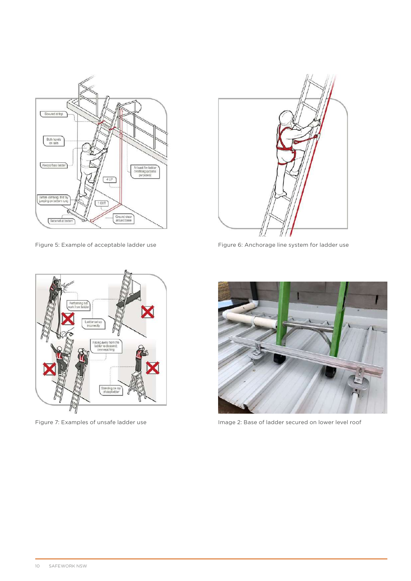



Figure 5: Example of acceptable ladder use Figure 6: Anchorage line system for ladder use





Figure 7: Examples of unsafe ladder use Image 2: Base of ladder secured on lower level roof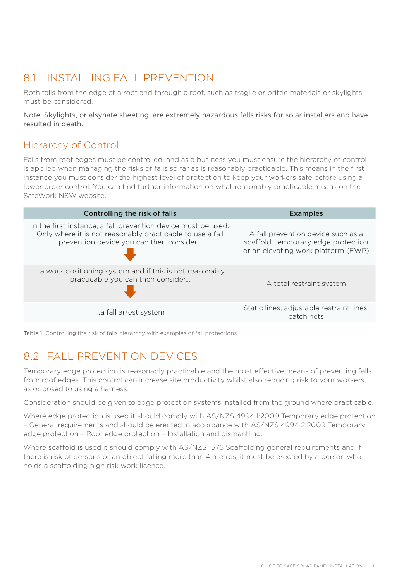### <span id="page-10-0"></span>8.1 INSTALLING FALL PREVENTION

Both falls from the edge of a roof and through a roof, such as fragile or brittle materials or skylights, must be considered.

Note: Skylights, or alsynate sheeting, are extremely hazardous falls risks for solar installers and have resulted in death.

#### Hierarchy of Control

Falls from roof edges must be controlled, and as a business you must ensure the hierarchy of control is applied when managing the risks of falls so far as is reasonably practicable. This means in the first instance you must consider the highest level of protection to keep your workers safe before using a lower order control. You can find further information on what reasonably practicable means on the SafeWork NSW website.

| Controlling the risk of falls                                                                                                                                         | <b>Examples</b>                                                                                                  |
|-----------------------------------------------------------------------------------------------------------------------------------------------------------------------|------------------------------------------------------------------------------------------------------------------|
| In the first instance, a fall prevention device must be used.<br>Only where it is not reasonably practicable to use a fall<br>prevention device you can then consider | A fall prevention device such as a<br>scaffold, temporary edge protection<br>or an elevating work platform (EWP) |
| a work positioning system and if this is not reasonably<br>practicable you can then consider                                                                          | A total restraint system                                                                                         |
| a fall arrest system                                                                                                                                                  | Static lines, adjustable restraint lines,<br>catch nets                                                          |

Table 1: Controlling the risk of falls hierarchy with examples of fall protections

### 8.2 FALL PREVENTION DEVICES

Temporary edge protection is reasonably practicable and the most effective means of preventing falls from roof edges. This control can increase site productivity whilst also reducing risk to your workers, as opposed to using a harness.

Consideration should be given to edge protection systems installed from the ground where practicable.

Where edge protection is used it should comply with AS/NZS 4994.1:2009 Temporary edge protection – General requirements and should be erected in accordance with AS/NZS 4994.2:2009 Temporary edge protection – Roof edge protection – Installation and dismantling.

Where scaffold is used it should comply with AS/NZS 1576 Scaffolding general requirements and if there is risk of persons or an object falling more than 4 metres, it must be erected by a person who holds a scaffolding high risk work licence.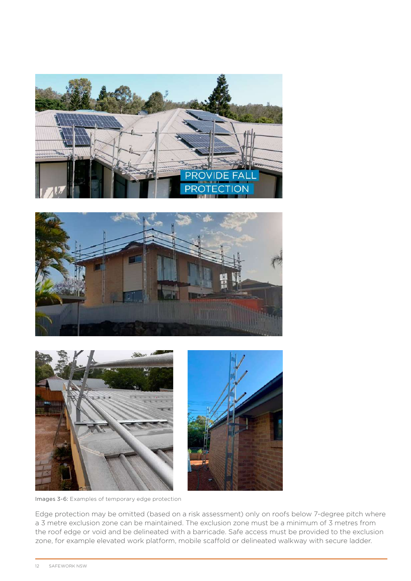





Images 3-6: Examples of temporary edge protection

Edge protection may be omitted (based on a risk assessment) only on roofs below 7-degree pitch where a 3 metre exclusion zone can be maintained. The exclusion zone must be a minimum of 3 metres from the roof edge or void and be delineated with a barricade. Safe access must be provided to the exclusion zone, for example elevated work platform, mobile scaffold or delineated walkway with secure ladder.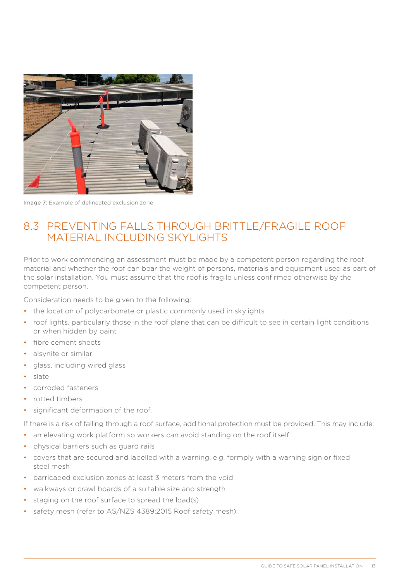<span id="page-12-0"></span>

Image 7: Example of delineated exclusion zone

#### 8.3 PREVENTING FALLS THROUGH BRITTLE/FRAGILE ROOF MATERIAL INCLUDING SKYLIGHTS

Prior to work commencing an assessment must be made by a competent person regarding the roof material and whether the roof can bear the weight of persons, materials and equipment used as part of the solar installation. You must assume that the roof is fragile unless confirmed otherwise by the competent person.

Consideration needs to be given to the following:

- the location of polycarbonate or plastic commonly used in skylights
- roof lights, particularly those in the roof plane that can be difficult to see in certain light conditions or when hidden by paint
- fibre cement sheets
- alsynite or similar
- glass, including wired glass
- slate
- corroded fasteners
- rotted timbers
- significant deformation of the roof.

If there is a risk of falling through a roof surface, additional protection must be provided. This may include:

- an elevating work platform so workers can avoid standing on the roof itself
- physical barriers such as guard rails
- covers that are secured and labelled with a warning, e.g. formply with a warning sign or fixed steel mesh
- barricaded exclusion zones at least 3 meters from the void
- walkways or crawl boards of a suitable size and strength
- staging on the roof surface to spread the load(s)
- safety mesh (refer to AS/NZS 4389:2015 Roof safety mesh).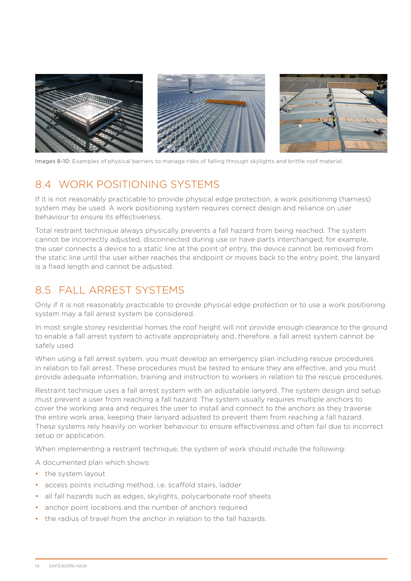<span id="page-13-0"></span>

Images 8-10: Examples of physical barriers to manage risks of falling through skylights and brittle roof material.

#### 8.4 WORK POSITIONING SYSTEMS

If it is not reasonably practicable to provide physical edge protection, a work positioning (harness) system may be used. A work positioning system requires correct design and reliance on user behaviour to ensure its effectiveness.

Total restraint technique always physically prevents a fall hazard from being reached. The system cannot be incorrectly adjusted, disconnected during use or have parts interchanged; for example, the user connects a device to a static line at the point of entry, the device cannot be removed from the static line until the user either reaches the endpoint or moves back to the entry point, the lanyard is a fixed length and cannot be adjusted.

#### 8.5 FALL ARREST SYSTEMS

Only if it is not reasonably practicable to provide physical edge protection or to use a work positioning system may a fall arrest system be considered.

In most single storey residential homes the roof height will not provide enough clearance to the ground to enable a fall arrest system to activate appropriately and, therefore, a fall arrest system cannot be safely used.

When using a fall arrest system, you must develop an emergency plan including rescue procedures in relation to fall arrest. These procedures must be tested to ensure they are effective, and you must provide adequate information, training and instruction to workers in relation to the rescue procedures.

Restraint technique uses a fall arrest system with an adjustable lanyard. The system design and setup must prevent a user from reaching a fall hazard. The system usually requires multiple anchors to cover the working area and requires the user to install and connect to the anchors as they traverse the entire work area, keeping their lanyard adjusted to prevent them from reaching a fall hazard. These systems rely heavily on worker behaviour to ensure effectiveness and often fail due to incorrect setup or application.

When implementing a restraint technique, the system of work should include the following:

A documented plan which shows:

- the system layout
- access points including method, i.e. scaffold stairs, ladder
- all fall hazards such as edges, skylights, polycarbonate roof sheets
- anchor point locations and the number of anchors required
- the radius of travel from the anchor in relation to the fall hazards.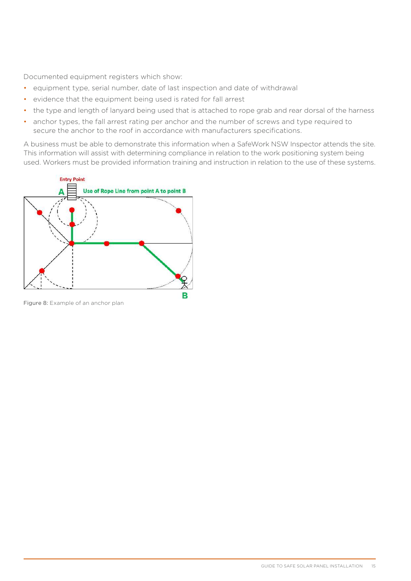Documented equipment registers which show:

- equipment type, serial number, date of last inspection and date of withdrawal
- evidence that the equipment being used is rated for fall arrest
- the type and length of lanyard being used that is attached to rope grab and rear dorsal of the harness
- anchor types, the fall arrest rating per anchor and the number of screws and type required to secure the anchor to the roof in accordance with manufacturers specifications.

A business must be able to demonstrate this information when a SafeWork NSW Inspector attends the site. This information will assist with determining compliance in relation to the work positioning system being used. Workers must be provided information training and instruction in relation to the use of these systems.



Figure 8: Example of an anchor plan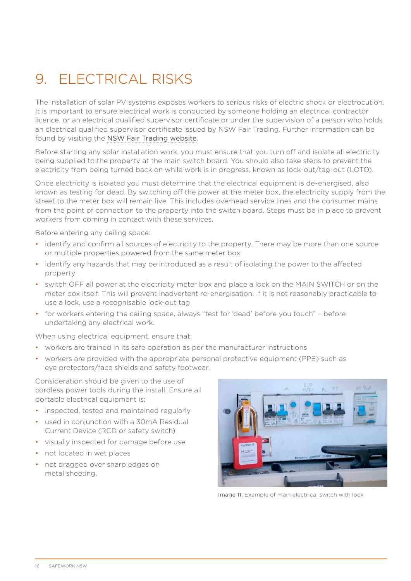# <span id="page-15-0"></span>9. ELECTRICAL RISKS

The installation of solar PV systems exposes workers to serious risks of electric shock or electrocution. It is important to ensure electrical work is conducted by someone holding an electrical contractor licence, or an electrical qualified supervisor certificate or under the supervision of a person who holds an electrical qualified supervisor certificate issued by NSW Fair Trading. Further information can be found by visiting the [NSW Fair Trading website](https://www.fairtrading.nsw.gov.au/housing-and-property/building-and-renovating/during-the-building-process/solar-panels).

Before starting any solar installation work, you must ensure that you turn off and isolate all electricity being supplied to the property at the main switch board. You should also take steps to prevent the electricity from being turned back on while work is in progress, known as lock-out/tag-out (LOTO).

Once electricity is isolated you must determine that the electrical equipment is de-energised, also known as testing for dead. By switching off the power at the meter box, the electricity supply from the street to the meter box will remain live. This includes overhead service lines and the consumer mains from the point of connection to the property into the switch board. Steps must be in place to prevent workers from coming in contact with these services.

Before entering any ceiling space:

- identify and confirm all sources of electricity to the property. There may be more than one source or multiple properties powered from the same meter box
- identify any hazards that may be introduced as a result of isolating the power to the affected property
- switch OFF all power at the electricity meter box and place a lock on the MAIN SWITCH or on the meter box itself. This will prevent inadvertent re-energisation. If it is not reasonably practicable to use a lock, use a recognisable lock-out tag
- for workers entering the ceiling space, always "test for 'dead' before you touch" before undertaking any electrical work.

When using electrical equipment, ensure that:

- workers are trained in its safe operation as per the manufacturer instructions
- workers are provided with the appropriate personal protective equipment (PPE) such as eye protectors/face shields and safety footwear.

Consideration should be given to the use of cordless power tools during the install. Ensure all portable electrical equipment is:

- inspected, tested and maintained regularly
- used in conjunction with a 30mA Residual Current Device (RCD or safety switch)
- visually inspected for damage before use
- not located in wet places
- not dragged over sharp edges on metal sheeting.



Image 11: Example of main electrical switch with lock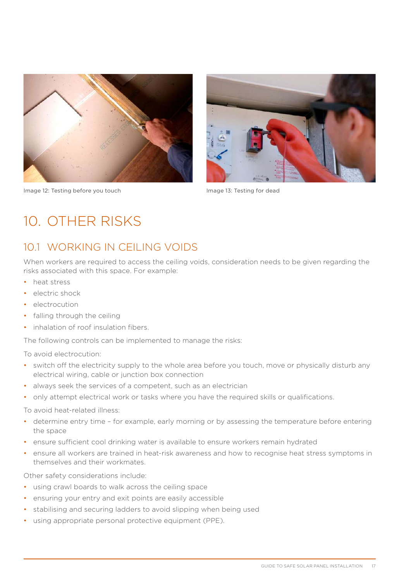<span id="page-16-0"></span>

Image 12: Testing before you touch Image 13: Testing for dead



### 10. OTHER RISKS

### 10.1 WORKING IN CEILING VOIDS

When workers are required to access the ceiling voids, consideration needs to be given regarding the risks associated with this space. For example:

- heat stress
- electric shock
- electrocution
- falling through the ceiling
- inhalation of roof insulation fibers.

The following controls can be implemented to manage the risks:

To avoid electrocution:

- switch off the electricity supply to the whole area before you touch, move or physically disturb any electrical wiring, cable or junction box connection
- always seek the services of a competent, such as an electrician
- only attempt electrical work or tasks where you have the required skills or qualifications.

To avoid heat-related illness:

- determine entry time for example, early morning or by assessing the temperature before entering the space
- ensure sufficient cool drinking water is available to ensure workers remain hydrated
- ensure all workers are trained in heat-risk awareness and how to recognise heat stress symptoms in themselves and their workmates.

Other safety considerations include:

- using crawl boards to walk across the ceiling space
- ensuring your entry and exit points are easily accessible
- stabilising and securing ladders to avoid slipping when being used
- using appropriate personal protective equipment (PPE).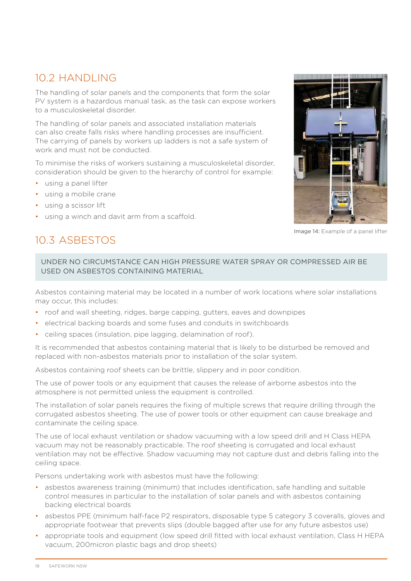#### <span id="page-17-0"></span>10.2 HANDLING

The handling of solar panels and the components that form the solar PV system is a hazardous manual task, as the task can expose workers to a musculoskeletal disorder.

The handling of solar panels and associated installation materials can also create falls risks where handling processes are insufficient. The carrying of panels by workers up ladders is not a safe system of work and must not be conducted.

To minimise the risks of workers sustaining a musculoskeletal disorder, consideration should be given to the hierarchy of control for example:

- using a panel lifter
- using a mobile crane
- using a scissor lift
- using a winch and davit arm from a scaffold.



Image 14: Example of a panel lifter

### 10.3 ASBESTOS

UNDER NO CIRCUMSTANCE CAN HIGH PRESSURE WATER SPRAY OR COMPRESSED AIR BE USED ON ASBESTOS CONTAINING MATERIAL

Asbestos containing material may be located in a number of work locations where solar installations may occur, this includes:

- roof and wall sheeting, ridges, barge capping, gutters, eaves and downpipes
- electrical backing boards and some fuses and conduits in switchboards
- ceiling spaces (insulation, pipe lagging, delamination of roof).

It is recommended that asbestos containing material that is likely to be disturbed be removed and replaced with non-asbestos materials prior to installation of the solar system.

Asbestos containing roof sheets can be brittle, slippery and in poor condition.

The use of power tools or any equipment that causes the release of airborne asbestos into the atmosphere is not permitted unless the equipment is controlled.

The installation of solar panels requires the fixing of multiple screws that require drilling through the corrugated asbestos sheeting. The use of power tools or other equipment can cause breakage and contaminate the ceiling space.

The use of local exhaust ventilation or shadow vacuuming with a low speed drill and H Class HEPA vacuum may not be reasonably practicable. The roof sheeting is corrugated and local exhaust ventilation may not be effective. Shadow vacuuming may not capture dust and debris falling into the ceiling space.

Persons undertaking work with asbestos must have the following:

- asbestos awareness training (minimum) that includes identification, safe handling and suitable control measures in particular to the installation of solar panels and with asbestos containing backing electrical boards
- asbestos PPE (minimum half-face P2 respirators, disposable type 5 category 3 coveralls, gloves and appropriate footwear that prevents slips (double bagged after use for any future asbestos use)
- appropriate tools and equipment (low speed drill fitted with local exhaust ventilation, Class H HEPA vacuum, 200micron plastic bags and drop sheets)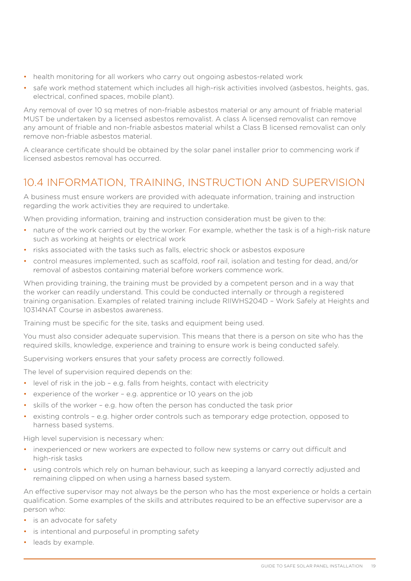- <span id="page-18-0"></span>• health monitoring for all workers who carry out ongoing asbestos-related work
- safe work method statement which includes all high-risk activities involved (asbestos, heights, gas, electrical, confined spaces, mobile plant).

Any removal of over 10 sq metres of non-friable asbestos material or any amount of friable material MUST be undertaken by a licensed asbestos removalist. A class A licensed removalist can remove any amount of friable and non-friable asbestos material whilst a Class B licensed removalist can only remove non-friable asbestos material.

A clearance certificate should be obtained by the solar panel installer prior to commencing work if licensed asbestos removal has occurred.

#### 10.4 INFORMATION, TRAINING, INSTRUCTION AND SUPERVISION

A business must ensure workers are provided with adequate information, training and instruction regarding the work activities they are required to undertake.

When providing information, training and instruction consideration must be given to the:

- nature of the work carried out by the worker. For example, whether the task is of a high-risk nature such as working at heights or electrical work
- risks associated with the tasks such as falls, electric shock or asbestos exposure
- control measures implemented, such as scaffold, roof rail, isolation and testing for dead, and/or removal of asbestos containing material before workers commence work.

When providing training, the training must be provided by a competent person and in a way that the worker can readily understand. This could be conducted internally or through a registered training organisation. Examples of related training include RIIWHS204D – Work Safely at Heights and 10314NAT Course in asbestos awareness.

Training must be specific for the site, tasks and equipment being used.

You must also consider adequate supervision. This means that there is a person on site who has the required skills, knowledge, experience and training to ensure work is being conducted safely.

Supervising workers ensures that your safety process are correctly followed.

The level of supervision required depends on the:

- level of risk in the job e.g. falls from heights, contact with electricity
- experience of the worker e.g. apprentice or 10 years on the job
- skills of the worker e.g. how often the person has conducted the task prior
- existing controls e.g. higher order controls such as temporary edge protection, opposed to harness based systems.

High level supervision is necessary when:

- inexperienced or new workers are expected to follow new systems or carry out difficult and high-risk tasks
- using controls which rely on human behaviour, such as keeping a lanyard correctly adjusted and remaining clipped on when using a harness based system.

An effective supervisor may not always be the person who has the most experience or holds a certain qualification. Some examples of the skills and attributes required to be an effective supervisor are a person who:

- is an advocate for safety
- is intentional and purposeful in prompting safety
- leads by example.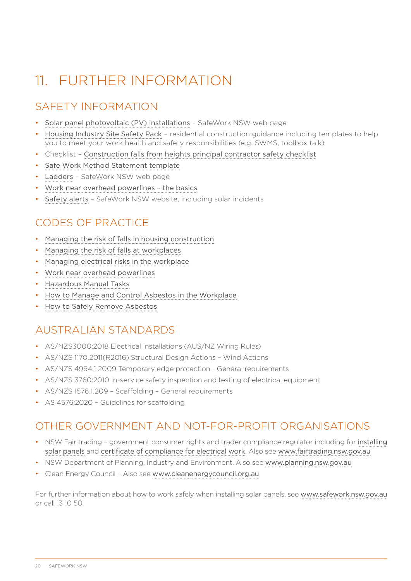# <span id="page-19-0"></span>11. FURTHER INFORMATION

### SAFETY INFORMATION

- [Solar panel photovoltaic \(PV\) installations](https://www.safework.nsw.gov.au/hazards-a-z/solar-panel-installations) SafeWork NSW web page
- [Housing Industry Site Safety Pack](https://www.safework.nsw.gov.au/your-industry/construction/house-construction/housing-industry-site-safety-pack) residential construction guidance including templates to help you to meet your work health and safety responsibilities (e.g. SWMS, toolbox talk)
- Checklist [Construction falls from heights principal contractor safety checklist](https://www.safework.nsw.gov.au/__data/assets/pdf_file/0006/559446/FFH-Blitz-PC-Checklist-Sept-2019.pdf)
- [Safe Work Method Statement template](https://www.safework.nsw.gov.au/hazards-a-z/formwork/accordians/safe-work-method-statements)
- [Ladders](https://www.safework.nsw.gov.au/hazards-a-z/ladders) SafeWork NSW web page
- [Work near overhead powerlines the basics](https://www.safework.nsw.gov.au/resource-library/blogs/blogs-accordions/work-near-overhead-power-lines-the-basics)
- [Safety alerts](https://www.safework.nsw.gov.au/resource-library/list-of-all-safety-alerts) SafeWork NSW website, including solar incidents

### CODES OF PRACTICE

- [Managing the risk of falls in housing construction](https://www.safework.nsw.gov.au/__data/assets/pdf_file/0020/52157/Managing-the-risk-of-falls-in-housing-construction-COP.pdf)
- [Managing the risk of falls at workplaces](https://www.safework.nsw.gov.au/__data/assets/pdf_file/0018/50076/Managing-the-risk-of-falls-at-workplaces-COP.pdf)
- [Managing electrical risks in the workplace](https://www.safework.nsw.gov.au/__data/assets/pdf_file/0010/50230/Managing-electrical-risks-in-the-workplace-COP.pdf)
- [Work near overhead powerlines](https://www.safework.nsw.gov.au/__data/assets/pdf_file/0020/52832/Work-near-overhead-power-lines-code-of-practice.pdf)
- [Hazardous Manual Tasks](https://www.safework.nsw.gov.au/__data/assets/pdf_file/0020/50078/Hazardous-manual-tasks-COP.pdf)
- [How to Manage and Control Asbestos in the Workplace](https://nswdfsi-search.squiz.cloud/s/redirect?collection=safework-rebuild&url=https%3A%2F%2Fwww.safework.nsw.gov.au%2F__data%2Fassets%2Fpdf_file%2F0014%2F50081%2FHow-to-manage-and-control-asbestos-in-the-workplace-COP.pdf&auth=oqryQwBut84hMDcVy0TBEA&profile=_default&rank=2&query=How+to+Manage+and+Control+Asbestos+in+the+Workplace)
- [How to Safely Remove Asbestos](https://nswdfsi-search.squiz.cloud/s/redirect?collection=safework-rebuild&url=https%3A%2F%2Fwww.safework.nsw.gov.au%2F__data%2Fassets%2Fpdf_file%2F0015%2F50082%2FHow-to-safely-remove-asbestos-COP.pdf&auth=Y5MMS%2FqyGuuDfLR%2BhAwQCQ&profile=_default&rank=1&query=How+to+Safely+Remove+Asbestos)

#### AUSTRALIAN STANDARDS

- AS/NZS3000:2018 Electrical Installations (AUS/NZ Wiring Rules)
- AS/NZS 1170.2011(R2016) Structural Design Actions Wind Actions
- AS/NZS 4994.1.2009 Temporary edge protection General requirements
- AS/NZS 3760:2010 In-service safety inspection and testing of electrical equipment
- AS/NZS 1576.1.209 Scaffolding General requirements
- AS 4576:2020 Guidelines for scaffolding

#### OTHER GOVERNMENT AND NOT-FOR-PROFIT ORGANISATIONS

- NSW Fair trading government consumer rights and trader compliance regulator including for [installing](https://www.fairtrading.nsw.gov.au/trades-and-businesses/construction-and-trade-essentials/green-energy-installers/installing-solar-panels) [solar panels](https://www.fairtrading.nsw.gov.au/trades-and-businesses/construction-and-trade-essentials/green-energy-installers/installing-solar-panels) and [certificate of compliance for electrical work](https://www.fairtrading.nsw.gov.au/trades-and-businesses/construction-and-trade-essentials/electricians/electrical-compliance-requirements). Also see [www.fairtrading.nsw.gov.au](http://www.fairtrading.nsw.gov.au/)
- NSW Department of Planning, Industry and Environment. Also see [www.planning.nsw.gov.au](http://www.planning.nsw.gov.au/)
- Clean Energy Council Also see [www.cleanenergycouncil.org.au](http://www.cleanenergycouncil.org.au/)

For further information about how to work safely when installing solar panels, see [www.safework.nsw.gov.au](http://www.safework.nsw.gov.au) or call 13 10 50.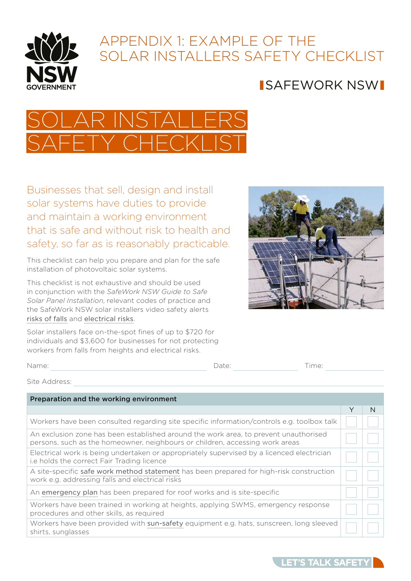<span id="page-20-0"></span>

### APPENDIX 1: EXAMPLE OF THE SOLAR INSTALLERS SAFFTY CHECKLIST

### SAFEWORK NSW



Businesses that sell, design and install solar systems have duties to provide and maintain a working environment that is safe and without risk to health and safety, so far as is reasonably practicable.

This checklist can help you prepare and plan for the safe installation of photovoltaic solar systems.

This checklist is not exhaustive and should be used in conjunction with the *SafeWork NSW Guide to Safe Solar Panel Installation*, relevant codes of practice and the SafeWork NSW solar installers video safety alerts risks of falls and electrical risks.

Solar installers face on-the-spot fines of up to \$720 for individuals and \$3,600 for businesses for not protecting workers from falls from heights and electrical risks.



|       |       | $-$  |
|-------|-------|------|
| Name: | Date: | ime: |
|       | .     |      |

Site Address:

| Preparation and the working environment                                                                                                                              |   |   |
|----------------------------------------------------------------------------------------------------------------------------------------------------------------------|---|---|
|                                                                                                                                                                      | Υ | N |
| Workers have been consulted regarding site specific information/controls e.g. toolbox talk                                                                           |   |   |
| An exclusion zone has been established around the work area, to prevent unauthorised<br>persons, such as the homeowner, neighbours or children, accessing work areas |   |   |
| Electrical work is being undertaken or appropriately supervised by a licenced electrician<br>i.e holds the correct Fair Trading licence                              |   |   |
| A site-specific safe work method statement has been prepared for high-risk construction<br>work e.g. addressing falls and electrical risks                           |   |   |
| An emergency plan has been prepared for roof works and is site-specific                                                                                              |   |   |
| Workers have been trained in working at heights, applying SWMS, emergency response<br>procedures and other skills, as required                                       |   |   |
| Workers have been provided with sun-safety equipment e.g. hats, sunscreen, long sleeved<br>shirts, sunglasses                                                        |   |   |